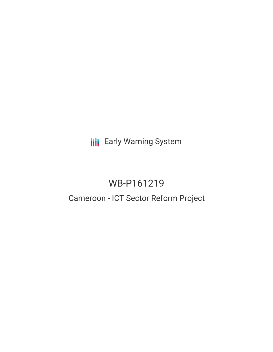**III** Early Warning System

# WB-P161219

## Cameroon - ICT Sector Reform Project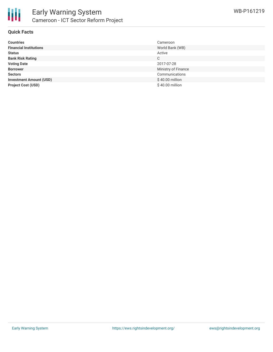

### **Quick Facts**

| <b>Countries</b>               | Cameroon            |
|--------------------------------|---------------------|
| <b>Financial Institutions</b>  | World Bank (WB)     |
| <b>Status</b>                  | Active              |
| <b>Bank Risk Rating</b>        | C                   |
| <b>Voting Date</b>             | 2017-07-28          |
| <b>Borrower</b>                | Ministry of Finance |
| <b>Sectors</b>                 | Communications      |
| <b>Investment Amount (USD)</b> | \$40.00 million     |
| <b>Project Cost (USD)</b>      | $$40.00$ million    |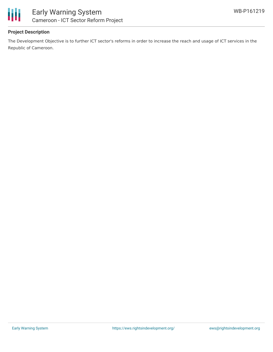



## **Project Description**

The Development Objective is to further ICT sector's reforms in order to increase the reach and usage of ICT services in the Republic of Cameroon.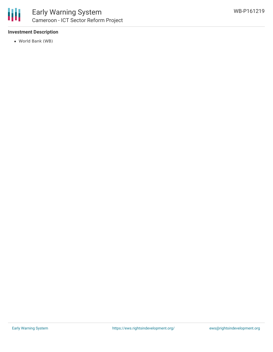

## **Investment Description**

World Bank (WB)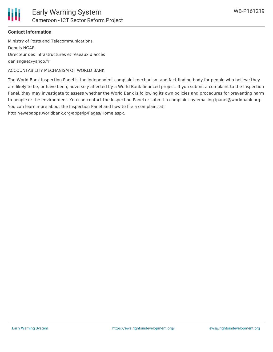

### **Contact Information**

Ministry of Posts and Telecommunications Dennis NGAE Directeur des infrastructures et réseaux d'accès denisngae@yahoo.fr

ACCOUNTABILITY MECHANISM OF WORLD BANK

The World Bank Inspection Panel is the independent complaint mechanism and fact-finding body for people who believe they are likely to be, or have been, adversely affected by a World Bank-financed project. If you submit a complaint to the Inspection Panel, they may investigate to assess whether the World Bank is following its own policies and procedures for preventing harm to people or the environment. You can contact the Inspection Panel or submit a complaint by emailing ipanel@worldbank.org. You can learn more about the Inspection Panel and how to file a complaint at:

http://ewebapps.worldbank.org/apps/ip/Pages/Home.aspx.